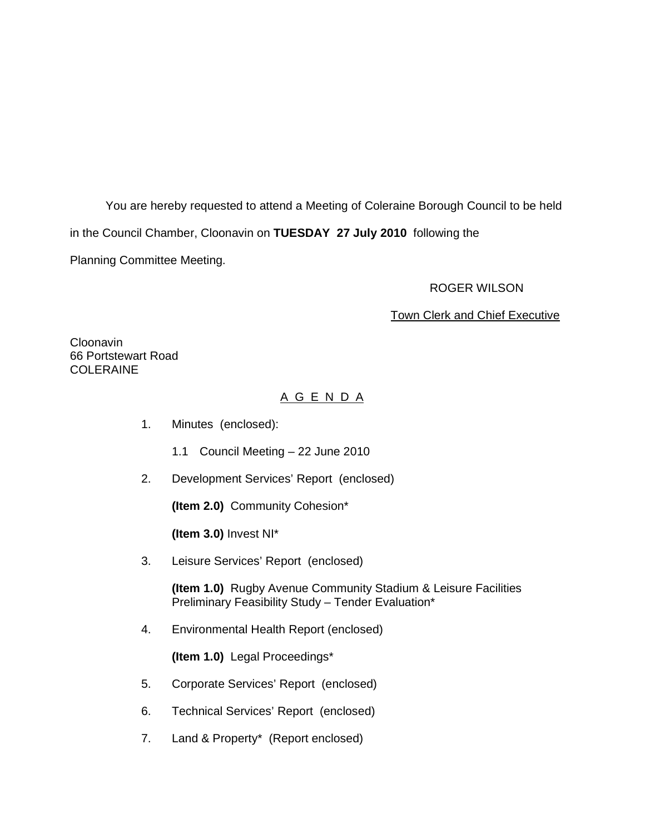You are hereby requested to attend a Meeting of Coleraine Borough Council to be held in the Council Chamber, Cloonavin on **TUESDAY 27 July 2010** following the Planning Committee Meeting.

#### ROGER WILSON

#### Town Clerk and Chief Executive

**Cloonavin** 66 Portstewart Road COLERAINE

# A G E N D A

- 1. Minutes (enclosed):
	- 1.1 Council Meeting 22 June 2010
- 2. Development Services' Report (enclosed)

**(Item 2.0)** Community Cohesion\*

**(Item 3.0)** Invest NI\*

3. Leisure Services' Report (enclosed)

**(Item 1.0)** Rugby Avenue Community Stadium & Leisure Facilities Preliminary Feasibility Study – Tender Evaluation\*

4. Environmental Health Report (enclosed)

**(Item 1.0)** Legal Proceedings\*

- 5. Corporate Services' Report (enclosed)
- 6. Technical Services' Report (enclosed)
- 7. Land & Property\* (Report enclosed)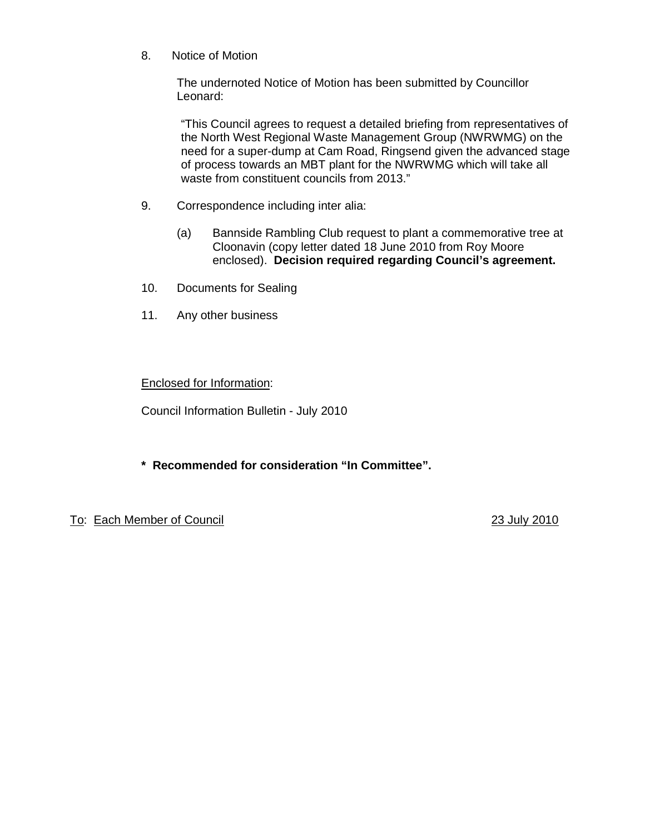8. Notice of Motion

 The undernoted Notice of Motion has been submitted by Councillor Leonard:

"This Council agrees to request a detailed briefing from representatives of the North West Regional Waste Management Group (NWRWMG) on the need for a super-dump at Cam Road, Ringsend given the advanced stage of process towards an MBT plant for the NWRWMG which will take all waste from constituent councils from 2013."

- 9. Correspondence including inter alia:
	- (a) Bannside Rambling Club request to plant a commemorative tree at Cloonavin (copy letter dated 18 June 2010 from Roy Moore enclosed). **Decision required regarding Council's agreement.**
- 10. Documents for Sealing
- 11. Any other business

## Enclosed for Information:

Council Information Bulletin - July 2010

**\* Recommended for consideration "In Committee".**

To: Each Member of Council 23 July 2010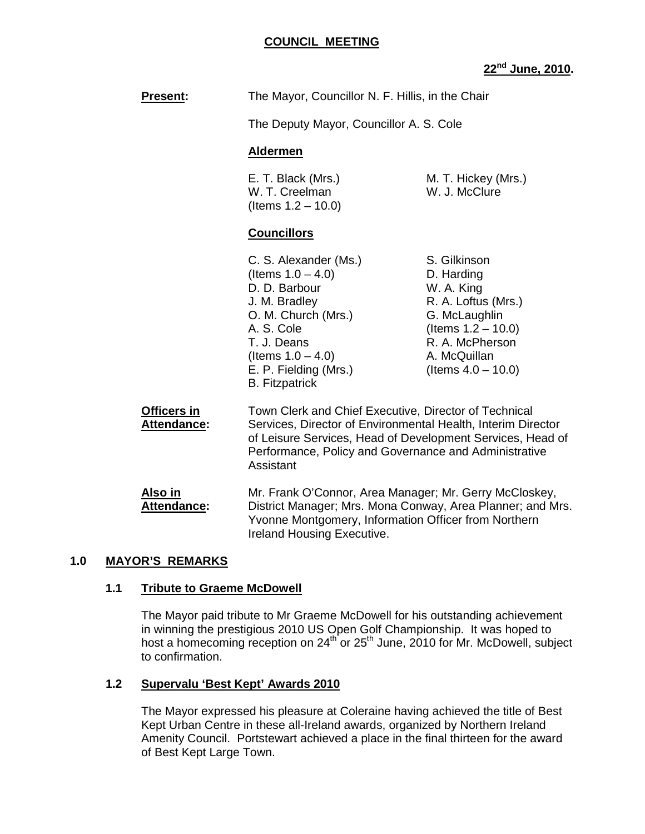#### **COUNCIL MEETING**

## **22nd June, 2010.**

|                                   |                                                                                                                                                                                                               | 22 <sup>nd</sup> June                                                                                                                                                 |
|-----------------------------------|---------------------------------------------------------------------------------------------------------------------------------------------------------------------------------------------------------------|-----------------------------------------------------------------------------------------------------------------------------------------------------------------------|
| <b>Present:</b>                   | The Mayor, Councillor N. F. Hillis, in the Chair                                                                                                                                                              |                                                                                                                                                                       |
|                                   | The Deputy Mayor, Councillor A. S. Cole                                                                                                                                                                       |                                                                                                                                                                       |
|                                   | <b>Aldermen</b>                                                                                                                                                                                               |                                                                                                                                                                       |
|                                   | E. T. Black (Mrs.)<br>W. T. Creelman<br>(Items $1.2 - 10.0$ )                                                                                                                                                 | M. T. Hickey (Mrs.)<br>W. J. McClure                                                                                                                                  |
|                                   | <b>Councillors</b>                                                                                                                                                                                            |                                                                                                                                                                       |
|                                   | C. S. Alexander (Ms.)<br>(Items $1.0 - 4.0$ )<br>D. D. Barbour<br>J. M. Bradley<br>O. M. Church (Mrs.)<br>A. S. Cole<br>T. J. Deans<br>(Items $1.0 - 4.0$ )<br>E. P. Fielding (Mrs.)<br><b>B.</b> Fitzpatrick | S. Gilkinson<br>D. Harding<br>W. A. King<br>R. A. Loftus (Mrs.)<br>G. McLaughlin<br>(Items $1.2 - 10.0$ )<br>R. A. McPherson<br>A. McQuillan<br>(Items $4.0 - 10.0$ ) |
| Officers in<br><b>Attendance:</b> | Town Clerk and Chief Executive, Director of Technical<br>Services, Director of Environmental Health, Interim Dire                                                                                             |                                                                                                                                                                       |

**Attendance:** Services, Director of Environmental Health, Interim Director of Leisure Services, Head of Development Services, Head of Performance, Policy and Governance and Administrative Assistant

> **Also in** Mr. Frank O'Connor, Area Manager; Mr. Gerry McCloskey, **Attendance:** District Manager; Mrs. Mona Conway, Area Planner; and Mrs. Yvonne Montgomery, Information Officer from Northern Ireland Housing Executive.

# **1.0 MAYOR'S REMARKS**

# **1.1 Tribute to Graeme McDowell**

The Mayor paid tribute to Mr Graeme McDowell for his outstanding achievement in winning the prestigious 2010 US Open Golf Championship. It was hoped to host a homecoming reception on 24<sup>th</sup> or 25<sup>th</sup> June, 2010 for Mr. McDowell, subject to confirmation.

# **1.2 Supervalu 'Best Kept' Awards 2010**

The Mayor expressed his pleasure at Coleraine having achieved the title of Best Kept Urban Centre in these all-Ireland awards, organized by Northern Ireland Amenity Council. Portstewart achieved a place in the final thirteen for the award of Best Kept Large Town.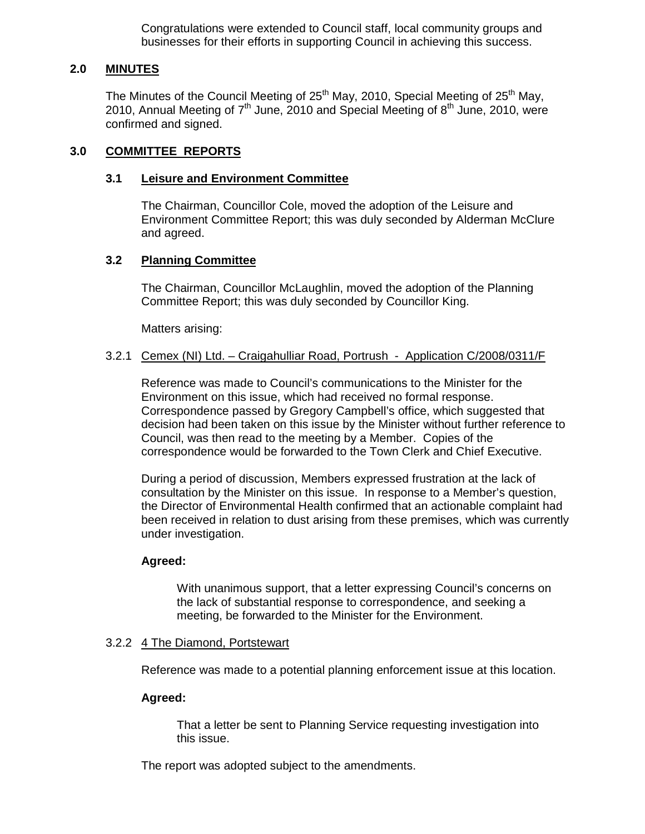Congratulations were extended to Council staff, local community groups and businesses for their efforts in supporting Council in achieving this success.

## **2.0 MINUTES**

The Minutes of the Council Meeting of  $25<sup>th</sup>$  May, 2010, Special Meeting of  $25<sup>th</sup>$  May, 2010, Annual Meeting of  $7<sup>th</sup>$  June, 2010 and Special Meeting of  $8<sup>th</sup>$  June, 2010, were confirmed and signed.

### **3.0 COMMITTEE REPORTS**

### **3.1 Leisure and Environment Committee**

 The Chairman, Councillor Cole, moved the adoption of the Leisure and Environment Committee Report; this was duly seconded by Alderman McClure and agreed.

## **3.2 Planning Committee**

 The Chairman, Councillor McLaughlin, moved the adoption of the Planning Committee Report; this was duly seconded by Councillor King.

Matters arising:

#### 3.2.1 Cemex (NI) Ltd. – Craigahulliar Road, Portrush - Application C/2008/0311/F

Reference was made to Council's communications to the Minister for the Environment on this issue, which had received no formal response. Correspondence passed by Gregory Campbell's office, which suggested that decision had been taken on this issue by the Minister without further reference to Council, was then read to the meeting by a Member. Copies of the correspondence would be forwarded to the Town Clerk and Chief Executive.

During a period of discussion, Members expressed frustration at the lack of consultation by the Minister on this issue. In response to a Member's question, the Director of Environmental Health confirmed that an actionable complaint had been received in relation to dust arising from these premises, which was currently under investigation.

### **Agreed:**

 With unanimous support, that a letter expressing Council's concerns on the lack of substantial response to correspondence, and seeking a meeting, be forwarded to the Minister for the Environment.

#### 3.2.2 4 The Diamond, Portstewart

Reference was made to a potential planning enforcement issue at this location.

#### **Agreed:**

 That a letter be sent to Planning Service requesting investigation into this issue.

The report was adopted subject to the amendments.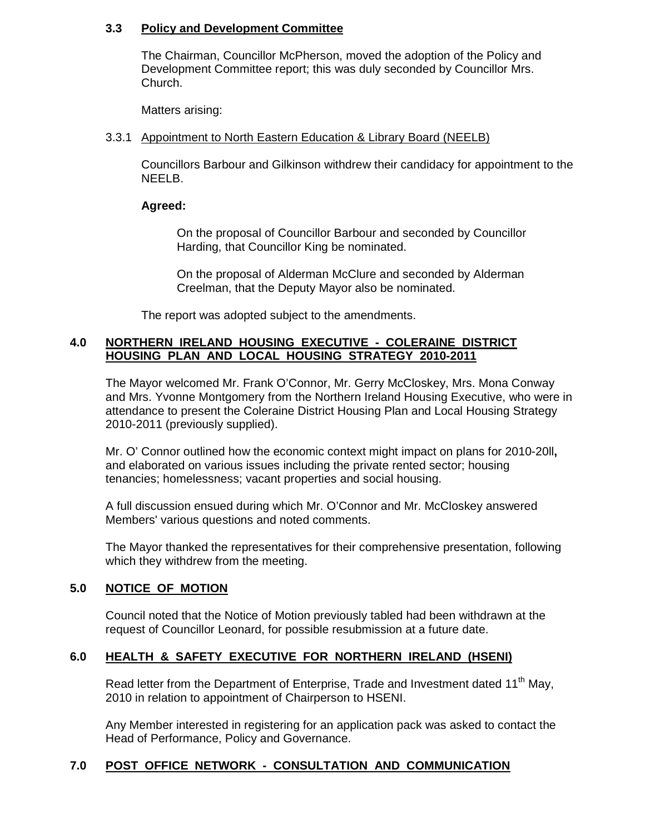## **3.3 Policy and Development Committee**

 The Chairman, Councillor McPherson, moved the adoption of the Policy and Development Committee report; this was duly seconded by Councillor Mrs. Church.

Matters arising:

## 3.3.1 Appointment to North Eastern Education & Library Board (NEELB)

Councillors Barbour and Gilkinson withdrew their candidacy for appointment to the NEELB.

## **Agreed:**

On the proposal of Councillor Barbour and seconded by Councillor Harding, that Councillor King be nominated.

 On the proposal of Alderman McClure and seconded by Alderman Creelman, that the Deputy Mayor also be nominated.

The report was adopted subject to the amendments.

## **4.0 NORTHERN IRELAND HOUSING EXECUTIVE - COLERAINE DISTRICT HOUSING PLAN AND LOCAL HOUSING STRATEGY 2010-2011**

The Mayor welcomed Mr. Frank O'Connor, Mr. Gerry McCloskey, Mrs. Mona Conway and Mrs. Yvonne Montgomery from the Northern Ireland Housing Executive, who were in attendance to present the Coleraine District Housing Plan and Local Housing Strategy 2010-2011 (previously supplied).

 Mr. O' Connor outlined how the economic context might impact on plans for 2010-20ll**,**  and elaborated on various issues including the private rented sector; housing tenancies; homelessness; vacant properties and social housing.

A full discussion ensued during which Mr. O'Connor and Mr. McCloskey answered Members' various questions and noted comments.

The Mayor thanked the representatives for their comprehensive presentation, following which they withdrew from the meeting.

# **5.0 NOTICE OF MOTION**

Council noted that the Notice of Motion previously tabled had been withdrawn at the request of Councillor Leonard, for possible resubmission at a future date.

# **6.0 HEALTH & SAFETY EXECUTIVE FOR NORTHERN IRELAND (HSENI)**

Read letter from the Department of Enterprise, Trade and Investment dated 11<sup>th</sup> May, 2010 in relation to appointment of Chairperson to HSENI.

Any Member interested in registering for an application pack was asked to contact the Head of Performance, Policy and Governance.

### **7.0 POST OFFICE NETWORK - CONSULTATION AND COMMUNICATION**